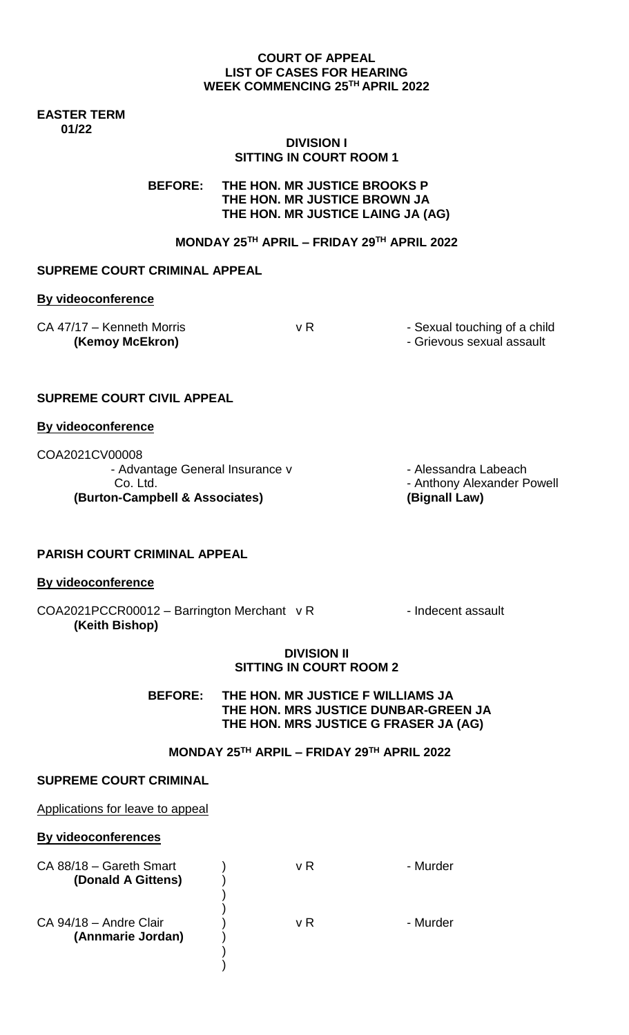#### **COURT OF APPEAL LIST OF CASES FOR HEARING WEEK COMMENCING 25TH APRIL 2022**

#### **EASTER TERM 01/22**

## **DIVISION I SITTING IN COURT ROOM 1**

**BEFORE: THE HON. MR JUSTICE BROOKS P THE HON. MR JUSTICE BROWN JA THE HON. MR JUSTICE LAING JA (AG)**

# **MONDAY 25TH APRIL – FRIDAY 29TH APRIL 2022**

## **SUPREME COURT CRIMINAL APPEAL**

#### **By videoconference**

| CA 47/17 - Kenneth Morris |  |
|---------------------------|--|
| (Kemoy McEkron)           |  |

v R - Sexual touching of a child

**(Kemoy McEkron)** - Grievous sexual assault

## **SUPREME COURT CIVIL APPEAL**

#### **By videoconference**

COA2021CV00008 - Advantage General Insurance v - - Alessandra Labeach Co. Ltd. - Anthony Alexander Powell **(Burton-Campbell & Associates) (Bignall Law)**

#### **PARISH COURT CRIMINAL APPEAL**

#### **By videoconference**

 $COA2021PCCRO0012 - Barrington Merchant \, v \, R$  - Indecent assault **(Keith Bishop)**

#### **DIVISION II SITTING IN COURT ROOM 2**

**BEFORE: THE HON. MR JUSTICE F WILLIAMS JA THE HON. MRS JUSTICE DUNBAR-GREEN JA THE HON. MRS JUSTICE G FRASER JA (AG)**

# **MONDAY 25TH ARPIL – FRIDAY 29TH APRIL 2022**

#### **SUPREME COURT CRIMINAL**

#### Applications for leave to appeal

## **By videoconferences**

| CA 88/18 - Gareth Smart<br>(Donald A Gittens) | v R | - Murder |
|-----------------------------------------------|-----|----------|
|                                               |     |          |
|                                               |     |          |
| CA 94/18 - Andre Clair                        | v R | - Murder |
| (Annmarie Jordan)                             |     |          |
|                                               |     |          |
|                                               |     |          |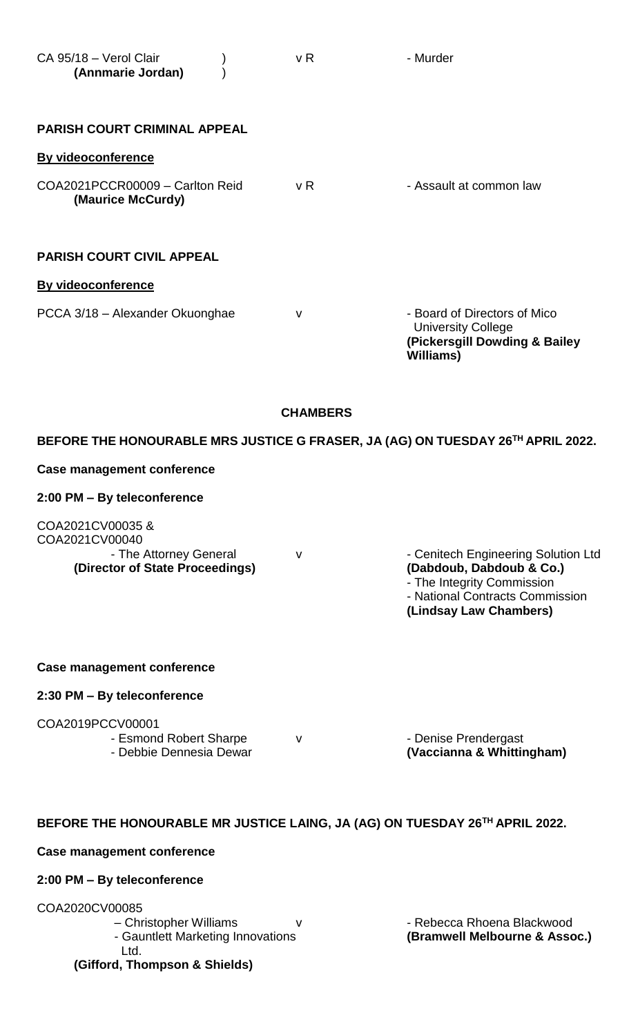| CA 95/18 - Verol Clair<br>(Annmarie Jordan)                                                    | v R             | - Murder                                                                                                       |
|------------------------------------------------------------------------------------------------|-----------------|----------------------------------------------------------------------------------------------------------------|
| <b>PARISH COURT CRIMINAL APPEAL</b>                                                            |                 |                                                                                                                |
| By videoconference                                                                             |                 |                                                                                                                |
| COA2021PCCR00009 - Carlton Reid<br>(Maurice McCurdy)                                           | v R             | - Assault at common law                                                                                        |
| <b>PARISH COURT CIVIL APPEAL</b>                                                               |                 |                                                                                                                |
| <b>By videoconference</b>                                                                      |                 |                                                                                                                |
| PCCA 3/18 - Alexander Okuonghae                                                                | $\mathsf{V}$    | - Board of Directors of Mico<br><b>University College</b><br>(Pickersgill Dowding & Bailey<br><b>Williams)</b> |
|                                                                                                | <b>CHAMBERS</b> |                                                                                                                |
|                                                                                                |                 | BEFORE THE HONOURABLE MRS JUSTICE G FRASER, JA (AG) ON TUESDAY 26TH APRIL 2022.                                |
| <b>Case management conference</b>                                                              |                 |                                                                                                                |
| 2:00 PM - By teleconference                                                                    |                 |                                                                                                                |
| COA2021CV00035&<br>COA2021CV00040<br>- The Attorney General<br>(Director of State Proceedings) | $\vee$          | - Cenitech Engineering Solution Ltd<br>(Dabdoub, Dabdoub & Co.)<br>- The Integrity Commission                  |

**Case management conference** 

## **2:30 PM – By teleconference**

COA2019PCCV00001

- Esmond Robert Sharpe v v · Denise Prendergast

- Debbie Dennesia Dewar **(Vaccianna & Whittingham)**

- National Contracts Commission

**(Lindsay Law Chambers)**

# **BEFORE THE HONOURABLE MR JUSTICE LAING, JA (AG) ON TUESDAY 26TH APRIL 2022.**

## **Case management conference**

# **2:00 PM – By teleconference**

COA2020CV00085

– Christopher Williams v v v v · Rebecca Rhoena Blackwood Ltd.

**(Gifford, Thompson & Shields)**

- Gauntlett Marketing Innovations **(Bramwell Melbourne & Assoc.)**